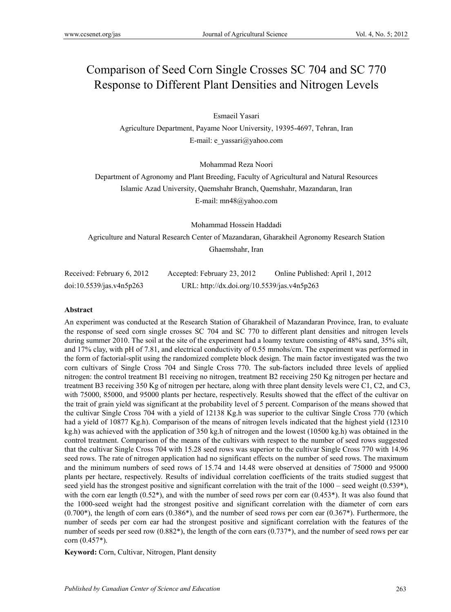# Comparison of Seed Corn Single Crosses SC 704 and SC 770 Response to Different Plant Densities and Nitrogen Levels

Esmaeil Yasari

Agriculture Department, Payame Noor University, 19395-4697, Tehran, Iran E-mail: e\_yassari@yahoo.com

Mohammad Reza Noori

Department of Agronomy and Plant Breeding, Faculty of Agricultural and Natural Resources Islamic Azad University, Qaemshahr Branch, Qaemshahr, Mazandaran, Iran E-mail: mn48@yahoo.com

Mohammad Hossein Haddadi Agriculture and Natural Research Center of Mazandaran, Gharakheil Agronomy Research Station Ghaemshahr, Iran

| Received: February 6, 2012 | Accepted: February 23, 2012                 | Online Published: April 1, 2012 |
|----------------------------|---------------------------------------------|---------------------------------|
| doi:10.5539/jas.v4n5p263   | URL: http://dx.doi.org/10.5539/jas.v4n5p263 |                                 |

#### **Abstract**

An experiment was conducted at the Research Station of Gharakheil of Mazandaran Province, Iran, to evaluate the response of seed corn single crosses SC 704 and SC 770 to different plant densities and nitrogen levels during summer 2010. The soil at the site of the experiment had a loamy texture consisting of 48% sand, 35% silt, and 17% clay, with pH of 7.81, and electrical conductivity of 0.55 mmohs/cm. The experiment was performed in the form of factorial-split using the randomized complete block design. The main factor investigated was the two corn cultivars of Single Cross 704 and Single Cross 770. The sub-factors included three levels of applied nitrogen: the control treatment B1 receiving no nitrogen, treatment B2 receiving 250 Kg nitrogen per hectare and treatment B3 receiving 350 Kg of nitrogen per hectare, along with three plant density levels were C1, C2, and C3, with 75000, 85000, and 95000 plants per hectare, respectively. Results showed that the effect of the cultivar on the trait of grain yield was significant at the probability level of 5 percent. Comparison of the means showed that the cultivar Single Cross 704 with a yield of 12138 Kg.h was superior to the cultivar Single Cross 770 (which had a yield of 10877 Kg.h). Comparison of the means of nitrogen levels indicated that the highest yield (12310 kg.h) was achieved with the application of 350 kg.h of nitrogen and the lowest (10500 kg.h) was obtained in the control treatment. Comparison of the means of the cultivars with respect to the number of seed rows suggested that the cultivar Single Cross 704 with 15.28 seed rows was superior to the cultivar Single Cross 770 with 14.96 seed rows. The rate of nitrogen application had no significant effects on the number of seed rows. The maximum and the minimum numbers of seed rows of 15.74 and 14.48 were observed at densities of 75000 and 95000 plants per hectare, respectively. Results of individual correlation coefficients of the traits studied suggest that seed yield has the strongest positive and significant correlation with the trait of the  $1000$  – seed weight (0.539<sup>\*</sup>), with the corn ear length  $(0.52^*)$ , and with the number of seed rows per corn ear  $(0.453^*)$ . It was also found that the 1000-seed weight had the strongest positive and significant correlation with the diameter of corn ears  $(0.700^*)$ , the length of corn ears  $(0.386^*)$ , and the number of seed rows per corn ear  $(0.367^*)$ . Furthermore, the number of seeds per corn ear had the strongest positive and significant correlation with the features of the number of seeds per seed row  $(0.882^*)$ , the length of the corn ears  $(0.737^*)$ , and the number of seed rows per ear corn (0.457\*).

**Keyword:** Corn, Cultivar, Nitrogen, Plant density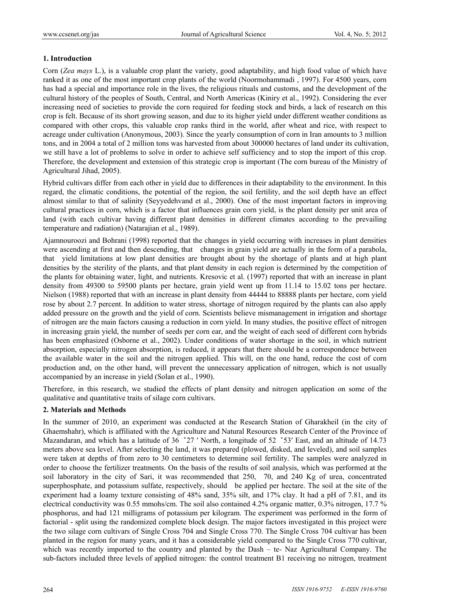# **1. Introduction**

Corn (*Zea mays* L.), is a valuable crop plant the variety, good adaptability, and high food value of which have ranked it as one of the most important crop plants of the world (Noormohammadi , 1997). For 4500 years, corn has had a special and importance role in the lives, the religious rituals and customs, and the development of the cultural history of the peoples of South, Central, and North Americas (Kiniry et al., 1992). Considering the ever increasing need of societies to provide the corn required for feeding stock and birds, a lack of research on this crop is felt. Because of its short growing season, and due to its higher yield under different weather conditions as compared with other crops, this valuable crop ranks third in the world, after wheat and rice, with respect to acreage under cultivation (Anonymous, 2003). Since the yearly consumption of corn in Iran amounts to 3 million tons, and in 2004 a total of 2 million tons was harvested from about 300000 hectares of land under its cultivation, we still have a lot of problems to solve in order to achieve self sufficiency and to stop the import of this crop. Therefore, the development and extension of this strategic crop is important (The corn bureau of the Ministry of Agricultural Jihad, 2005).

Hybrid cultivars differ from each other in yield due to differences in their adaptability to the environment. In this regard, the climatic conditions, the potential of the region, the soil fertility, and the soil depth have an effect almost similar to that of salinity (Seyyedehvand et al., 2000). One of the most important factors in improving cultural practices in corn, which is a factor that influences grain corn yield, is the plant density per unit area of land (with each cultivar having different plant densities in different climates according to the prevailing temperature and radiation) (Natarajian et al., 1989).

Ajamnouroozi and Bohrani (1998) reported that the changes in yield occurring with increases in plant densities were ascending at first and then descending, that changes in grain yield are actually in the form of a parabola, that yield limitations at low plant densities are brought about by the shortage of plants and at high plant densities by the sterility of the plants, and that plant density in each region is determined by the competition of the plants for obtaining water, light, and nutrients. Kresovic et al. (1997) reported that with an increase in plant density from 49300 to 59500 plants per hectare, grain yield went up from 11.14 to 15.02 tons per hectare. Nielson (1988) reported that with an increase in plant density from 44444 to 88888 plants per hectare, corn yield rose by about 2.7 percent. In addition to water stress, shortage of nitrogen required by the plants can also apply added pressure on the growth and the yield of corn. Scientists believe mismanagement in irrigation and shortage of nitrogen are the main factors causing a reduction in corn yield. In many studies, the positive effect of nitrogen in increasing grain yield, the number of seeds per corn ear, and the weight of each seed of different corn hybrids has been emphasized (Osborne et al., 2002). Under conditions of water shortage in the soil, in which nutrient absorption, especially nitrogen absorption, is reduced, it appears that there should be a correspondence between the available water in the soil and the nitrogen applied. This will, on the one hand, reduce the cost of corn production and, on the other hand, will prevent the unnecessary application of nitrogen, which is not usually accompanied by an increase in yield (Solan et al., 1990).

Therefore, in this research, we studied the effects of plant density and nitrogen application on some of the qualitative and quantitative traits of silage corn cultivars.

# **2. Materials and Methods**

In the summer of 2010, an experiment was conducted at the Research Station of Gharakheil (in the city of Ghaemshahr), which is affiliated with the Agriculture and Natural Resources Research Center of the Province of Mazandaran, and which has a latitude of 36 ̊27 ′ North, a longitude of 52 ̊53′ East, and an altitude of 14.73 meters above sea level. After selecting the land, it was prepared (plowed, disked, and leveled), and soil samples were taken at depths of from zero to 30 centimeters to determine soil fertility. The samples were analyzed in order to choose the fertilizer treatments. On the basis of the results of soil analysis, which was performed at the soil laboratory in the city of Sari, it was recommended that 250, 70, and 240 Kg of urea, concentrated superphosphate, and potassium sulfate, respectively, should be applied per hectare. The soil at the site of the experiment had a loamy texture consisting of 48% sand, 35% silt, and 17% clay. It had a pH of 7.81, and its electrical conductivity was 0.55 mmohs/cm. The soil also contained 4.2% organic matter, 0.3% nitrogen, 17.7 % phosphorus, and had 121 milligrams of potassium per kilogram. The experiment was performed in the form of factorial - split using the randomized complete block design. The major factors investigated in this project were the two silage corn cultivars of Single Cross 704 and Single Cross 770. The Single Cross 704 cultivar has been planted in the region for many years, and it has a considerable yield compared to the Single Cross 770 cultivar, which was recently imported to the country and planted by the Dash – te- Naz Agricultural Company. The sub-factors included three levels of applied nitrogen: the control treatment B1 receiving no nitrogen, treatment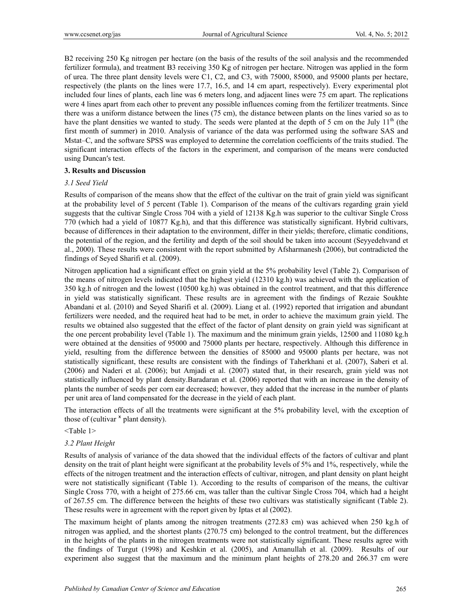B2 receiving 250 Kg nitrogen per hectare (on the basis of the results of the soil analysis and the recommended fertilizer formula), and treatment B3 receiving 350 Kg of nitrogen per hectare. Nitrogen was applied in the form of urea. The three plant density levels were C1, C2, and C3, with 75000, 85000, and 95000 plants per hectare, respectively (the plants on the lines were 17.7, 16.5, and 14 cm apart, respectively). Every experimental plot included four lines of plants, each line was 6 meters long, and adjacent lines were 75 cm apart. The replications were 4 lines apart from each other to prevent any possible influences coming from the fertilizer treatments. Since there was a uniform distance between the lines (75 cm), the distance between plants on the lines varied so as to have the plant densities we wanted to study. The seeds were planted at the depth of 5 cm on the July  $11<sup>th</sup>$  (the first month of summer) in 2010. Analysis of variance of the data was performed using the software SAS and Mstat–C, and the software SPSS was employed to determine the correlation coefficients of the traits studied. The significant interaction effects of the factors in the experiment, and comparison of the means were conducted using Duncan′s test.

### **3. Results and Discussion**

### *3.1 Seed Yield*

Results of comparison of the means show that the effect of the cultivar on the trait of grain yield was significant at the probability level of 5 percent (Table 1). Comparison of the means of the cultivars regarding grain yield suggests that the cultivar Single Cross 704 with a yield of 12138 Kg.h was superior to the cultivar Single Cross 770 (which had a yield of 10877 Kg.h), and that this difference was statistically significant. Hybrid cultivars, because of differences in their adaptation to the environment, differ in their yields; therefore, climatic conditions, the potential of the region, and the fertility and depth of the soil should be taken into account (Seyyedehvand et al., 2000). These results were consistent with the report submitted by Afsharmanesh (2006), but contradicted the findings of Seyed Sharifi et al. (2009).

Nitrogen application had a significant effect on grain yield at the 5% probability level (Table 2). Comparison of the means of nitrogen levels indicated that the highest yield (12310 kg.h) was achieved with the application of 350 kg.h of nitrogen and the lowest (10500 kg.h) was obtained in the control treatment, and that this difference in yield was statistically significant. These results are in agreement with the findings of Rezaie Soukhte Abandani et al. (2010) and Seyed Sharifi et al. (2009). Liang et al. (1992) reported that irrigation and abundant fertilizers were needed, and the required heat had to be met, in order to achieve the maximum grain yield. The results we obtained also suggested that the effect of the factor of plant density on grain yield was significant at the one percent probability level (Table 1). The maximum and the minimum grain yields, 12500 and 11080 kg.h were obtained at the densities of 95000 and 75000 plants per hectare, respectively. Although this difference in yield, resulting from the difference between the densities of 85000 and 95000 plants per hectare, was not statistically significant, these results are consistent with the findings of Taherkhani et al. (2007), Saberi et al. (2006) and Naderi et al. (2006); but Amjadi et al. (2007) stated that, in their research, grain yield was not statistically influenced by plant density.Baradaran et al. (2006) reported that with an increase in the density of plants the number of seeds per corn ear decreased; however, they added that the increase in the number of plants per unit area of land compensated for the decrease in the yield of each plant.

The interaction effects of all the treatments were significant at the 5% probability level, with the exception of those of (cultivar  $x$  plant density).

## <Table 1>

### *3.2 Plant Height*

Results of analysis of variance of the data showed that the individual effects of the factors of cultivar and plant density on the trait of plant height were significant at the probability levels of 5% and 1%, respectively, while the effects of the nitrogen treatment and the interaction effects of cultivar, nitrogen, and plant density on plant height were not statistically significant (Table 1). According to the results of comparison of the means, the cultivar Single Cross 770, with a height of 275.66 cm, was taller than the cultivar Single Cross 704, which had a height of 267.55 cm. The difference between the heights of these two cultivars was statistically significant (Table 2). These results were in agreement with the report given by Iptas et al (2002).

The maximum height of plants among the nitrogen treatments (272.83 cm) was achieved when 250 kg.h of nitrogen was applied, and the shortest plants (270.75 cm) belonged to the control treatment, but the differences in the heights of the plants in the nitrogen treatments were not statistically significant. These results agree with the findings of Turgut (1998) and Keshkin et al. (2005), and Amanullah et al. (2009). Results of our experiment also suggest that the maximum and the minimum plant heights of 278.20 and 266.37 cm were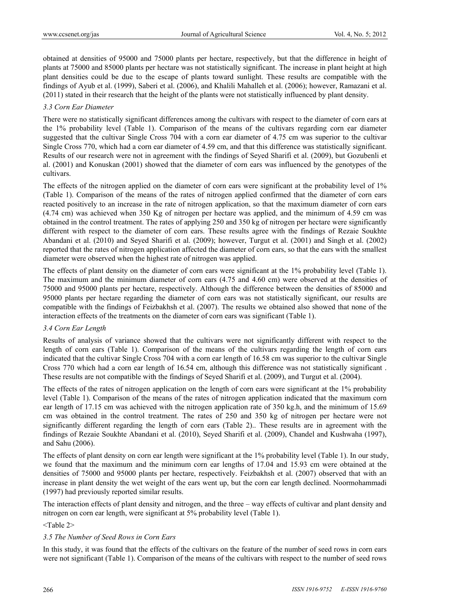obtained at densities of 95000 and 75000 plants per hectare, respectively, but that the difference in height of plants at 75000 and 85000 plants per hectare was not statistically significant. The increase in plant height at high plant densities could be due to the escape of plants toward sunlight. These results are compatible with the findings of Ayub et al. (1999), Saberi et al. (2006), and Khalili Mahalleh et al. (2006); however, Ramazani et al. (2011) stated in their research that the height of the plants were not statistically influenced by plant density.

## *3.3 Corn Ear Diameter*

There were no statistically significant differences among the cultivars with respect to the diameter of corn ears at the 1% probability level (Table 1). Comparison of the means of the cultivars regarding corn ear diameter suggested that the cultivar Single Cross 704 with a corn ear diameter of 4.75 cm was superior to the cultivar Single Cross 770, which had a corn ear diameter of 4.59 cm, and that this difference was statistically significant. Results of our research were not in agreement with the findings of Seyed Sharifi et al. (2009), but Gozubenli et al. (2001) and Konuskan (2001) showed that the diameter of corn ears was influenced by the genotypes of the cultivars.

The effects of the nitrogen applied on the diameter of corn ears were significant at the probability level of 1% (Table 1). Comparison of the means of the rates of nitrogen applied confirmed that the diameter of corn ears reacted positively to an increase in the rate of nitrogen application, so that the maximum diameter of corn ears (4.74 cm) was achieved when 350 Kg of nitrogen per hectare was applied, and the minimum of 4.59 cm was obtained in the control treatment. The rates of applying 250 and 350 kg of nitrogen per hectare were significantly different with respect to the diameter of corn ears. These results agree with the findings of Rezaie Soukhte Abandani et al. (2010) and Seyed Sharifi et al. (2009); however, Turgut et al. (2001) and Singh et al. (2002) reported that the rates of nitrogen application affected the diameter of corn ears, so that the ears with the smallest diameter were observed when the highest rate of nitrogen was applied.

The effects of plant density on the diameter of corn ears were significant at the 1% probability level (Table 1). The maximum and the minimum diameter of corn ears (4.75 and 4.60 cm) were observed at the densities of 75000 and 95000 plants per hectare, respectively. Although the difference between the densities of 85000 and 95000 plants per hectare regarding the diameter of corn ears was not statistically significant, our results are compatible with the findings of Feizbakhsh et al. (2007). The results we obtained also showed that none of the interaction effects of the treatments on the diameter of corn ears was significant (Table 1).

# *3.4 Corn Ear Length*

Results of analysis of variance showed that the cultivars were not significantly different with respect to the length of corn ears (Table 1). Comparison of the means of the cultivars regarding the length of corn ears indicated that the cultivar Single Cross 704 with a corn ear length of 16.58 cm was superior to the cultivar Single Cross 770 which had a corn ear length of 16.54 cm, although this difference was not statistically significant . These results are not compatible with the findings of Seyed Sharifi et al. (2009), and Turgut et al. (2004).

The effects of the rates of nitrogen application on the length of corn ears were significant at the 1% probability level (Table 1). Comparison of the means of the rates of nitrogen application indicated that the maximum corn ear length of 17.15 cm was achieved with the nitrogen application rate of 350 kg.h, and the minimum of 15.69 cm was obtained in the control treatment. The rates of 250 and 350 kg of nitrogen per hectare were not significantly different regarding the length of corn ears (Table 2).. These results are in agreement with the findings of Rezaie Soukhte Abandani et al. (2010), Seyed Sharifi et al. (2009), Chandel and Kushwaha (1997), and Sahu (2006).

The effects of plant density on corn ear length were significant at the 1% probability level (Table 1). In our study, we found that the maximum and the minimum corn ear lengths of 17.04 and 15.93 cm were obtained at the densities of 75000 and 95000 plants per hectare, respectively. Feizbakhsh et al. (2007) observed that with an increase in plant density the wet weight of the ears went up, but the corn ear length declined. Noormohammadi (1997) had previously reported similar results.

The interaction effects of plant density and nitrogen, and the three – way effects of cultivar and plant density and nitrogen on corn ear length, were significant at 5% probability level (Table 1).

<Table 2>

# *3.5 The Number of Seed Rows in Corn Ears*

In this study, it was found that the effects of the cultivars on the feature of the number of seed rows in corn ears were not significant (Table 1). Comparison of the means of the cultivars with respect to the number of seed rows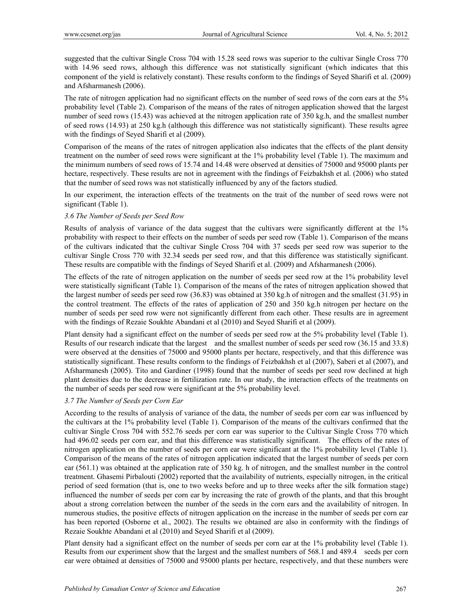suggested that the cultivar Single Cross 704 with 15.28 seed rows was superior to the cultivar Single Cross 770 with 14.96 seed rows, although this difference was not statistically significant (which indicates that this component of the yield is relatively constant). These results conform to the findings of Seyed Sharifi et al. (2009) and Afsharmanesh (2006).

The rate of nitrogen application had no significant effects on the number of seed rows of the corn ears at the 5% probability level (Table 2). Comparison of the means of the rates of nitrogen application showed that the largest number of seed rows (15.43) was achieved at the nitrogen application rate of 350 kg.h, and the smallest number of seed rows (14.93) at 250 kg.h (although this difference was not statistically significant). These results agree with the findings of Seyed Sharifi et al (2009).

Comparison of the means of the rates of nitrogen application also indicates that the effects of the plant density treatment on the number of seed rows were significant at the 1% probability level (Table 1). The maximum and the minimum numbers of seed rows of 15.74 and 14.48 were observed at densities of 75000 and 95000 plants per hectare, respectively. These results are not in agreement with the findings of Feizbakhsh et al. (2006) who stated that the number of seed rows was not statistically influenced by any of the factors studied.

In our experiment, the interaction effects of the treatments on the trait of the number of seed rows were not significant (Table 1).

## *3.6 The Number of Seeds per Seed Row*

Results of analysis of variance of the data suggest that the cultivars were significantly different at the 1% probability with respect to their effects on the number of seeds per seed row (Table 1). Comparison of the means of the cultivars indicated that the cultivar Single Cross 704 with 37 seeds per seed row was superior to the cultivar Single Cross 770 with 32.34 seeds per seed row, and that this difference was statistically significant. These results are compatible with the findings of Seyed Sharifi et al. (2009) and Afsharmanesh (2006).

The effects of the rate of nitrogen application on the number of seeds per seed row at the 1% probability level were statistically significant (Table 1). Comparison of the means of the rates of nitrogen application showed that the largest number of seeds per seed row (36.83) was obtained at 350 kg.h of nitrogen and the smallest (31.95) in the control treatment. The effects of the rates of application of 250 and 350 kg.h nitrogen per hectare on the number of seeds per seed row were not significantly different from each other. These results are in agreement with the findings of Rezaie Soukhte Abandani et al (2010) and Seyed Sharifi et al (2009).

Plant density had a significant effect on the number of seeds per seed row at the 5% probability level (Table 1). Results of our research indicate that the largest and the smallest number of seeds per seed row (36.15 and 33.8) were observed at the densities of 75000 and 95000 plants per hectare, respectively, and that this difference was statistically significant. These results conform to the findings of Feizbakhsh et al (2007), Saberi et al (2007), and Afsharmanesh (2005). Tito and Gardiner (1998) found that the number of seeds per seed row declined at high plant densities due to the decrease in fertilization rate. In our study, the interaction effects of the treatments on the number of seeds per seed row were significant at the 5% probability level.

### *3.7 The Number of Seeds per Corn Ear*

According to the results of analysis of variance of the data, the number of seeds per corn ear was influenced by the cultivars at the 1% probability level (Table 1). Comparison of the means of the cultivars confirmed that the cultivar Single Cross 704 with 552.76 seeds per corn ear was superior to the Cultivar Single Cross 770 which had 496.02 seeds per corn ear, and that this difference was statistically significant. The effects of the rates of nitrogen application on the number of seeds per corn ear were significant at the 1% probability level (Table 1). Comparison of the means of the rates of nitrogen application indicated that the largest number of seeds per corn ear (561.1) was obtained at the application rate of 350 kg. h of nitrogen, and the smallest number in the control treatment. Ghasemi Pirbalouti (2002) reported that the availability of nutrients, especially nitrogen, in the critical period of seed formation (that is, one to two weeks before and up to three weeks after the silk formation stage) influenced the number of seeds per corn ear by increasing the rate of growth of the plants, and that this brought about a strong correlation between the number of the seeds in the corn ears and the availability of nitrogen. In numerous studies, the positive effects of nitrogen application on the increase in the number of seeds per corn ear has been reported (Osborne et al., 2002). The results we obtained are also in conformity with the findings of Rezaie Soukhte Abandani et al (2010) and Seyed Sharifi et al (2009).

Plant density had a significant effect on the number of seeds per corn ear at the 1% probability level (Table 1). Results from our experiment show that the largest and the smallest numbers of 568.1 and 489.4 seeds per corn ear were obtained at densities of 75000 and 95000 plants per hectare, respectively, and that these numbers were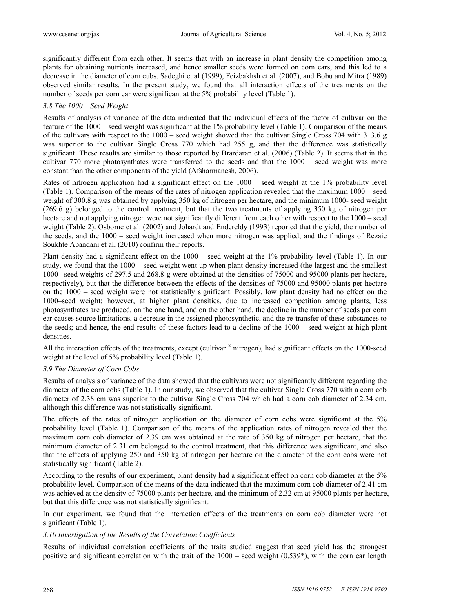significantly different from each other. It seems that with an increase in plant density the competition among plants for obtaining nutrients increased, and hence smaller seeds were formed on corn ears, and this led to a decrease in the diameter of corn cubs. Sadeghi et al (1999), Feizbakhsh et al. (2007), and Bobu and Mitra (1989) observed similar results. In the present study, we found that all interaction effects of the treatments on the number of seeds per corn ear were significant at the 5% probability level (Table 1).

#### *3.8 The 1000 – Seed Weight*

Results of analysis of variance of the data indicated that the individual effects of the factor of cultivar on the feature of the 1000 – seed weight was significant at the 1% probability level (Table 1). Comparison of the means of the cultivars with respect to the 1000 – seed weight showed that the cultivar Single Cross 704 with 313.6 g was superior to the cultivar Single Cross 770 which had 255 g, and that the difference was statistically significant. These results are similar to those reported by Brardaran et al. (2006) (Table 2). It seems that in the cultivar 770 more photosynthates were transferred to the seeds and that the 1000 – seed weight was more constant than the other components of the yield (Afsharmanesh, 2006).

Rates of nitrogen application had a significant effect on the 1000 – seed weight at the 1% probability level (Table 1). Comparison of the means of the rates of nitrogen application revealed that the maximum 1000 – seed weight of 300.8 g was obtained by applying 350 kg of nitrogen per hectare, and the minimum 1000- seed weight (269.6 g) belonged to the control treatment, but that the two treatments of applying 350 kg of nitrogen per hectare and not applying nitrogen were not significantly different from each other with respect to the 1000 – seed weight (Table 2). Osborne et al. (2002) and Johardt and Endereldy (1993) reported that the yield, the number of the seeds, and the 1000 – seed weight increased when more nitrogen was applied; and the findings of Rezaie Soukhte Abandani et al. (2010) confirm their reports.

Plant density had a significant effect on the 1000 – seed weight at the 1% probability level (Table 1). In our study, we found that the 1000 – seed weight went up when plant density increased (the largest and the smallest 1000– seed weights of 297.5 and 268.8 g were obtained at the densities of 75000 and 95000 plants per hectare, respectively), but that the difference between the effects of the densities of 75000 and 95000 plants per hectare on the 1000 – seed weight were not statistically significant. Possibly, low plant density had no effect on the 1000–seed weight; however, at higher plant densities, due to increased competition among plants, less photosynthates are produced, on the one hand, and on the other hand, the decline in the number of seeds per corn ear causes source limitations, a decrease in the assigned photosynthetic, and the re-transfer of these substances to the seeds; and hence, the end results of these factors lead to a decline of the 1000 – seed weight at high plant densities.

All the interaction effects of the treatments, except (cultivar  $\frac{x}{1}$  nitrogen), had significant effects on the 1000-seed weight at the level of 5% probability level (Table 1).

## *3.9 The Diameter of Corn Cobs*

Results of analysis of variance of the data showed that the cultivars were not significantly different regarding the diameter of the corn cobs (Table 1). In our study, we observed that the cultivar Single Cross 770 with a corn cob diameter of 2.38 cm was superior to the cultivar Single Cross 704 which had a corn cob diameter of 2.34 cm, although this difference was not statistically significant.

The effects of the rates of nitrogen application on the diameter of corn cobs were significant at the 5% probability level (Table 1). Comparison of the means of the application rates of nitrogen revealed that the maximum corn cob diameter of 2.39 cm was obtained at the rate of 350 kg of nitrogen per hectare, that the minimum diameter of 2.31 cm belonged to the control treatment, that this difference was significant, and also that the effects of applying 250 and 350 kg of nitrogen per hectare on the diameter of the corn cobs were not statistically significant (Table 2).

According to the results of our experiment, plant density had a significant effect on corn cob diameter at the 5% probability level. Comparison of the means of the data indicated that the maximum corn cob diameter of 2.41 cm was achieved at the density of 75000 plants per hectare, and the minimum of 2.32 cm at 95000 plants per hectare, but that this difference was not statistically significant.

In our experiment, we found that the interaction effects of the treatments on corn cob diameter were not significant (Table 1).

### *3.10 Investigation of the Results of the Correlation Coefficients*

Results of individual correlation coefficients of the traits studied suggest that seed yield has the strongest positive and significant correlation with the trait of the 1000 – seed weight (0.539\*), with the corn ear length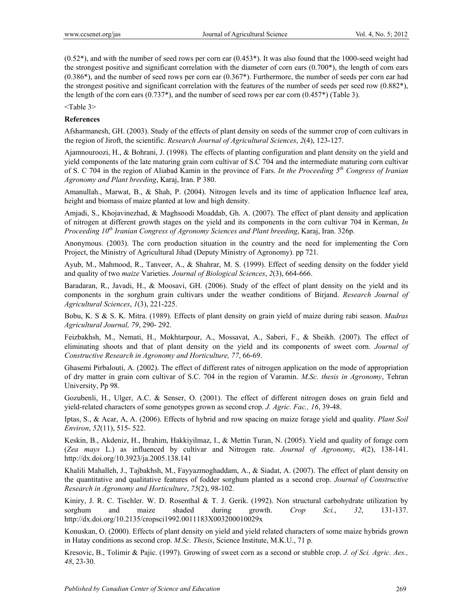(0.52\*), and with the number of seed rows per corn ear (0.453\*). It was also found that the 1000-seed weight had the strongest positive and significant correlation with the diameter of corn ears  $(0.700<sup>*</sup>)$ , the length of corn ears (0.386\*), and the number of seed rows per corn ear (0.367\*). Furthermore, the number of seeds per corn ear had the strongest positive and significant correlation with the features of the number of seeds per seed row (0.882\*), the length of the corn ears  $(0.737^*)$ , and the number of seed rows per ear corn  $(0.457^*)$  (Table 3).

<Table 3>

## **References**

Afsharmanesh, GH. (2003). Study of the effects of plant density on seeds of the summer crop of corn cultivars in the region of Jiroft, the scientific. *Research Journal of Agricultural Sciences*, *2*(4), 123-127.

Ajamnouroozi, H., & Bohrani, J. (1998). The effects of planting configuration and plant density on the yield and yield components of the late maturing grain corn cultivar of S.C 704 and the intermediate maturing corn cultivar of S. C 704 in the region of Aliabad Kamin in the province of Fars. *In the Proceeding 5th Congress of Iranian Agronomy and Plant breeding*, Karaj, Iran. P 380.

Amanullah., Marwat, B., & Shah, P. (2004). Nitrogen levels and its time of application Influence leaf area, height and biomass of maize planted at low and high density.

Amjadi, S., Khojavinezhad, & Maghsoodi Moaddab, Gh. A. (2007). The effect of plant density and application of nitrogen at different growth stages on the yield and its components in the corn cultivar 704 in Kerman, *In Proceeding 10th Iranian Congress of Agronomy Sciences and Plant breeding*, Karaj, Iran. 326p.

Anonymous. (2003). The corn production situation in the country and the need for implementing the Corn Project, the Ministry of Agricultural Jihad (Deputy Ministry of Agronomy). pp 721.

Ayub, M., Mahmood, R., Tanveer, A., & Shahrar, M. S. (1999). Effect of seeding density on the fodder yield and quality of two *maize* Varieties. *Journal of Biological Sciences*, *2*(3), 664-666.

Baradaran, R., Javadi, H., & Moosavi, GH. (2006). Study of the effect of plant density on the yield and its components in the sorghum grain cultivars under the weather conditions of Birjand. *Research Journal of Agricultural Sciences*, *1*(3), 221-225.

Bobu, K. S & S. K. Mitra. (1989). Effects of plant density on grain yield of maize during rabi season. *Madras Agricultural Journal, 79*, 290- 292.

Feizbakhsh, M., Nemati, H., Mokhtarpour, A., Mossavat, A., Saberi, F., & Sheikh. (2007). The effect of eliminating shoots and that of plant density on the yield and its components of sweet corn. *Journal of Constructive Research in Agronomy and Horticulture, 77*, 66-69.

Ghasemi Pirbalouti, A. (2002). The effect of different rates of nitrogen application on the mode of appropriation of dry matter in grain corn cultivar of S.C. 704 in the region of Varamin. *M.Sc. thesis in Agronomy*, Tehran University, Pp 98.

Gozubenli, H., Ulger, A.C. & Senser, O. (2001). The effect of different nitrogen doses on grain field and yield-related characters of some genotypes grown as second crop. *J. Agric. Fac., 16*, 39-48.

Iptas, S., & Acar, A, A. (2006). Effects of hybrid and row spacing on maize forage yield and quality. *Plant Soil Environ*, *52*(11), 515- 522.

Keskin, B., Akdeniz, H., Ibrahim, Hakkiyilmaz, I., & Mettin Turan, N. (2005). Yield and quality of forage corn (*Zea mays* L.) as influenced by cultivar and Nitrogen rate. *Journal of Agronomy*, *4*(2), 138-141. http://dx.doi.org/10.3923/ja.2005.138.141

Khalili Mahalleh, J., Tajbakhsh, M., Fayyazmoghaddam, A., & Siadat, A. (2007). The effect of plant density on the quantitative and qualitative features of fodder sorghum planted as a second crop. *Journal of Constructive Research in Agronomy and Horticulture*, *75*(2), 98-102.

Kiniry, J. R. C. Tischler. W. D. Rosenthal & T. J. Gerik. (1992). Non structural carbohydrate utilization by sorghum and maize shaded during growth. *Crop Sci.*, *32*, 131-137. http://dx.doi.org/10.2135/cropsci1992.0011183X003200010029x

Konuskan, O. (2000). Effects of plant density on yield and yield related characters of some maize hybrids grown in Hatay conditions as second crop. *M.Sc. Thesis*, Science Institute, M.K.U., 71 p.

Kresovic, B., Tolimir & Pajic. (1997). Growing of sweet corn as a second or stubble crop. *J. of Sci. Agric. Aes., 48*, 23-30.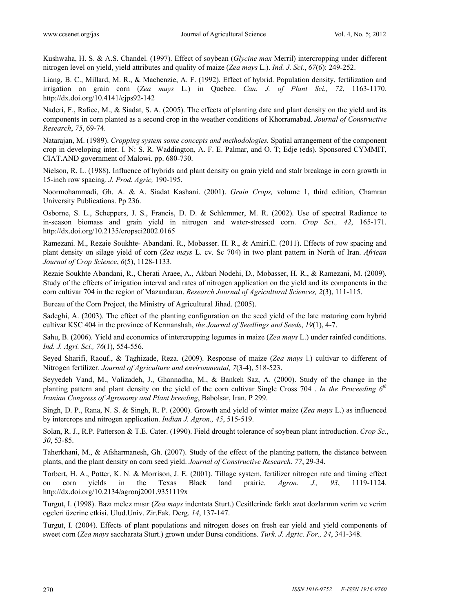Kushwaha, H. S. & A.S. Chandel. (1997). Effect of soybean (*Glycine max* Merril) intercropping under different nitrogen level on yield, yield attributes and quality of maize (*Zea mays* L.). *Ind. J. Sci.*, *67*(6): 249-252.

Liang, B. C., Millard, M. R., & Machenzie, A. F. (1992). Effect of hybrid. Population density, fertilization and irrigation on grain corn (*Zea mays* L.) in Quebec. *Can. J. of Plant Sci., 72*, 1163-1170. http://dx.doi.org/10.4141/cjps92-142

Naderi, F., Rafiee, M., & Siadat, S. A. (2005). The effects of planting date and plant density on the yield and its components in corn planted as a second crop in the weather conditions of Khorramabad. *Journal of Constructive Research*, *75*, 69-74.

Natarajan, M. (1989). *Cropping system some concepts and methodologies.* Spatial arrangement of the component crop in developing inter. I. N: S. R. Waddington, A. F. E. Palmar, and O. T; Edje (eds). Sponsored CYMMIT, CIAT.AND government of Malowi. pp. 680-730.

Nielson, R. L. (1988). Influence of hybrids and plant density on grain yield and stalr breakage in corn growth in 15-inch row spacing. *J. Prod. Agric,* 190-195.

Noormohammadi, Gh. A. & A. Siadat Kashani. (2001). *Grain Crops,* volume 1, third edition, Chamran University Publications. Pp 236.

Osborne, S. L., Scheppers, J. S., Francis, D. D. & Schlemmer, M. R. (2002). Use of spectral Radiance to in-season biomass and grain yield in nitrogen and water-stressed corn. *Crop Sci., 42*, 165-171. http://dx.doi.org/10.2135/cropsci2002.0165

Ramezani. M., Rezaie Soukhte- Abandani. R., Mobasser. H. R., & Amiri.E. (2011). Effects of row spacing and plant density on silage yield of corn (*Zea mays* L. cv. Sc 704) in two plant pattern in North of Iran. *African Journal of Crop Science*, *6*(5), 1128-1133.

Rezaie Soukhte Abandani, R., Cherati Araee, A., Akbari Nodehi, D., Mobasser, H. R., & Ramezani, M. (2009). Study of the effects of irrigation interval and rates of nitrogen application on the yield and its components in the corn cultivar 704 in the region of Mazandaran. *Research Journal of Agricultural Sciences, 2*(3), 111-115.

Bureau of the Corn Project, the Ministry of Agricultural Jihad. (2005).

Sadeghi, A. (2003). The effect of the planting configuration on the seed yield of the late maturing corn hybrid cultivar KSC 404 in the province of Kermanshah, *the Journal of Seedlings and Seeds*, *19*(1), 4-7.

Sahu, B. (2006). Yield and economics of intercropping legumes in maize (*Zea mays* L.) under rainfed conditions. *Ind. J. Agri. Sci., 76*(1), 554-556.

Seyed Sharifi, Raouf., & Taghizade, Reza. (2009). Response of maize (*Zea mays* l.) cultivar to different of Nitrogen fertilizer. *Journal of Agriculture and environmental, 7*(3-4), 518-523.

Seyyedeh Vand, M., Valizadeh, J., Ghannadha, M., & Bankeh Saz, A. (2000). Study of the change in the planting pattern and plant density on the yield of the corn cultivar Single Cross 704 . *In the Proceeding 6th Iranian Congress of Agronomy and Plant breeding*, Babolsar, Iran. P 299.

Singh, D. P., Rana, N. S. & Singh, R. P. (2000). Growth and yield of winter maize (*Zea mays* L.) as influenced by intercrops and nitrogen application. *Indian J. Agron., 45*, 515-519.

Solan, R. J., R.P. Patterson & T.E. Cater. (1990). Field drought tolerance of soybean plant introduction. *Crop Sc.*, *30*, 53-85.

Taherkhani, M., & Afsharmanesh, Gh. (2007). Study of the effect of the planting pattern, the distance between plants, and the plant density on corn seed yield. *Journal of Constructive Research*, *77*, 29-34.

Torbert, H. A., Potter, K. N. & Morrison, J. E. (2001). Tillage system, fertilizer nitrogen rate and timing effect on corn yields in the Texas Black land prairie. *Agron. J., 93*, 1119-1124. http://dx.doi.org/10.2134/agronj2001.9351119x

Turgut, I. (1998). Bazı melez mısır (*Zea mays* indentata Sturt.) Cesitlerinde farklı azot dozlarının verim ve verim ogeleri üzerine etkisi. Ulud.Univ. Zir.Fak. Derg. *14*, 137-147.

Turgut, I. (2004). Effects of plant populations and nitrogen doses on fresh ear yield and yield components of sweet corn (*Zea mays* saccharata Sturt.) grown under Bursa conditions. *Turk. J. Agric. For., 24*, 341-348.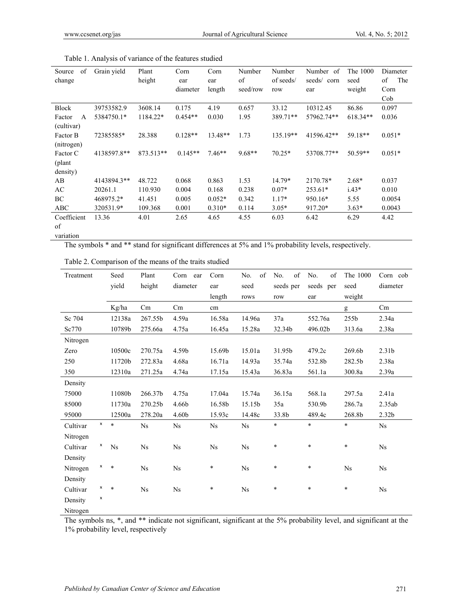| of<br>Source           | Grain yield | Plant     | Corn      | Corn     | Number   | Number    | Number of   | The 1000   | Diameter  |
|------------------------|-------------|-----------|-----------|----------|----------|-----------|-------------|------------|-----------|
| change                 |             | height    | ear       | ear      | of       | of seeds/ | seeds/ corn | seed       | The<br>of |
|                        |             |           | diameter  | length   | seed/row | row       | ear         | weight     | Corn      |
|                        |             |           |           |          |          |           |             |            | Cob       |
| <b>Block</b>           | 39753582.9  | 3608.14   | 0.175     | 4.19     | 0.657    | 33.12     | 10312.45    | 86.86      | 0.097     |
| Factor<br>$\mathsf{A}$ | 5384750.1*  | 1184.22*  | $0.454**$ | 0.030    | 1.95     | 389.71**  | 57962.74**  | $618.34**$ | 0.036     |
| (cultivar)             |             |           |           |          |          |           |             |            |           |
| Factor B               | 72385585*   | 28.388    | $0.128**$ | 13.48**  | 1.73     | 135.19**  | 41596.42**  | 59.18**    | $0.051*$  |
| (nitrogen)             |             |           |           |          |          |           |             |            |           |
| Factor C               | 4138597.8** | 873.513** | $0.145**$ | $7.46**$ | $9.68**$ | $70.25*$  | 53708.77**  | $50.59**$  | $0.051*$  |
| (plant)                |             |           |           |          |          |           |             |            |           |
| density)               |             |           |           |          |          |           |             |            |           |
| AB                     | 4143894.3** | 48.722    | 0.068     | 0.863    | 1.53     | 14.79*    | 2170.78*    | $2.68*$    | 0.037     |
| AC                     | 20261.1     | 110.930   | 0.004     | 0.168    | 0.238    | $0.07*$   | $253.61*$   | $1.43*$    | 0.010     |
| BC                     | 468975.2*   | 41.451    | 0.005     | $0.052*$ | 0.342    | $1.17*$   | 950.16*     | 5.55       | 0.0054    |
| ABC                    | 320531.9*   | 109.368   | 0.001     | $0.310*$ | 0.114    | $3.05*$   | 917.20*     | $3.63*$    | 0.0043    |
| Coefficient            | 13.36       | 4.01      | 2.65      | 4.65     | 4.55     | 6.03      | 6.42        | 6.29       | 4.42      |
| of                     |             |           |           |          |          |           |             |            |           |
| variation              |             |           |           |          |          |           |             |            |           |

|  |  | Table 1. Analysis of variance of the features studied |  |
|--|--|-------------------------------------------------------|--|
|  |  |                                                       |  |

The symbols \* and \*\* stand for significant differences at 5% and 1% probability levels, respectively.

| Table 2. Comparison of the means of the traits studied |
|--------------------------------------------------------|
|--------------------------------------------------------|

| Treatment                  | Seed<br>yield | Plant<br>height | Corn ear<br>diameter | Corn<br>ear<br>length | of<br>No.<br>seed<br>rows | of<br>No.<br>seeds per<br>row | of<br>No.<br>seeds per<br>ear | The 1000<br>seed<br>weight | Corn cob<br>diameter |
|----------------------------|---------------|-----------------|----------------------|-----------------------|---------------------------|-------------------------------|-------------------------------|----------------------------|----------------------|
|                            | Kg/ha         | Cm              | Cm                   | cm                    |                           |                               |                               | g                          | Cm                   |
| Sc 704                     | 12138a        | 267.55b         | 4.59a                | 16.58a                | 14.96a                    | 37a                           | 552.76a                       | 255b                       | 2.34a                |
| Sc770                      | 10789b        | 275.66a         | 4.75a                | 16.45a                | 15.28a                    | 32.34b                        | 496.02b                       | 313.6a                     | 2.38a                |
| Nitrogen                   |               |                 |                      |                       |                           |                               |                               |                            |                      |
| Zero                       | 10500c        | 270.75a         | 4.59b                | 15.69b                | 15.01a                    | 31.95b                        | 479.2c                        | 269.6b                     | 2.31 <sub>b</sub>    |
| 250                        | 11720b        | 272.83a         | 4.68a                | 16.71a                | 14.93a                    | 35.74a                        | 532.8b                        | 282.5b                     | 2.38a                |
| 350                        | 12310a        | 271.25a         | 4.74a                | 17.15a                | 15.43a                    | 36.83a                        | 561.1a                        | 300.8a                     | $2.39a$              |
| Density                    |               |                 |                      |                       |                           |                               |                               |                            |                      |
| 75000                      | 11080b        | 266.37b         | 4.75a                | 17.04a                | 15.74a                    | 36.15a                        | 568.1a                        | 297.5a                     | 2.41a                |
| 85000                      | 11730a        | 270.25b         | 4.66b                | 16.58b                | 15.15b                    | 35a                           | 530.9b                        | 286.7a                     | 2.35ab               |
| 95000                      | 12500a        | 278.20a         | 4.60 <sub>b</sub>    | 15.93c                | 14.48c                    | 33.8b                         | 489.4c                        | 268.8b                     | 2.32 <sub>b</sub>    |
| $\pmb{\times}$<br>Cultivar | $\ast$        | Ns              | <b>Ns</b>            | Ns                    | <b>Ns</b>                 | *                             | $\ast$                        | $\ast$                     | <b>Ns</b>            |
| Nitrogen                   |               |                 |                      |                       |                           |                               |                               |                            |                      |
| x<br>Cultivar              | <b>Ns</b>     | <b>Ns</b>       | <b>Ns</b>            | <b>Ns</b>             | <b>Ns</b>                 | *                             | $\ast$                        | ¥                          | <b>Ns</b>            |
| Density                    |               |                 |                      |                       |                           |                               |                               |                            |                      |
| x<br>Nitrogen              | $\ast$        | <b>Ns</b>       | <b>Ns</b>            | *                     | <b>Ns</b>                 | $\ast$                        | $\ast$                        | <b>Ns</b>                  | <b>Ns</b>            |
| Density                    |               |                 |                      |                       |                           |                               |                               |                            |                      |
| x<br>Cultivar              | $\ast$        | Ns              | Ns                   | $\ast$                | <b>Ns</b>                 | $\ast$                        | $\ast$                        | $\ast$                     | <b>Ns</b>            |
| x<br>Density               |               |                 |                      |                       |                           |                               |                               |                            |                      |
| Nitrogen                   |               |                 |                      |                       |                           |                               |                               |                            |                      |

The symbols ns, \*, and \*\* indicate not significant, significant at the 5% probability level, and significant at the 1% probability level, respectively